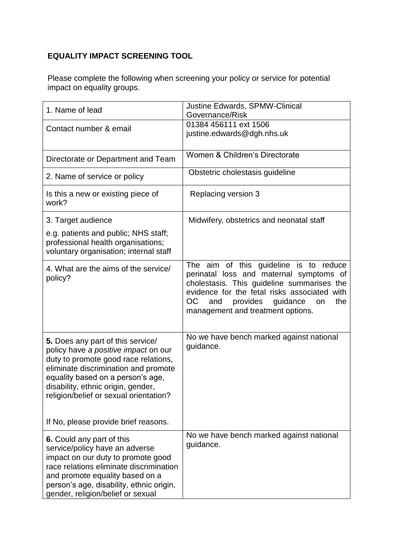## **EQUALITY IMPACT SCREENING TOOL**

Please complete the following when screening your policy or service for potential impact on equality groups.

| 1. Name of lead                                                                                                                                                                                                                                                                                                               | Justine Edwards, SPMW-Clinical<br>Governance/Risk                                                                                                                                                                                                                       |
|-------------------------------------------------------------------------------------------------------------------------------------------------------------------------------------------------------------------------------------------------------------------------------------------------------------------------------|-------------------------------------------------------------------------------------------------------------------------------------------------------------------------------------------------------------------------------------------------------------------------|
| Contact number & email                                                                                                                                                                                                                                                                                                        | 01384 456111 ext 1506<br>justine.edwards@dgh.nhs.uk                                                                                                                                                                                                                     |
| Directorate or Department and Team                                                                                                                                                                                                                                                                                            | Women & Children's Directorate                                                                                                                                                                                                                                          |
| 2. Name of service or policy                                                                                                                                                                                                                                                                                                  | Obstetric cholestasis guideline                                                                                                                                                                                                                                         |
| Is this a new or existing piece of<br>work?                                                                                                                                                                                                                                                                                   | Replacing version 3                                                                                                                                                                                                                                                     |
| 3. Target audience                                                                                                                                                                                                                                                                                                            | Midwifery, obstetrics and neonatal staff                                                                                                                                                                                                                                |
| e.g. patients and public; NHS staff;<br>professional health organisations;<br>voluntary organisation; internal staff                                                                                                                                                                                                          |                                                                                                                                                                                                                                                                         |
| 4. What are the aims of the service/<br>policy?                                                                                                                                                                                                                                                                               | The aim of this guideline is to reduce<br>perinatal loss and maternal symptoms of<br>cholestasis. This guideline summarises the<br>evidence for the fetal risks associated with<br>provides<br>OC.<br>and<br>guidance<br>the<br>on<br>management and treatment options. |
| <b>5.</b> Does any part of this service/<br>policy have a positive impact on our<br>duty to promote good race relations,<br>eliminate discrimination and promote<br>equality based on a person's age,<br>disability, ethnic origin, gender,<br>religion/belief or sexual orientation?<br>If No, please provide brief reasons. | No we have bench marked against national<br>guidance.                                                                                                                                                                                                                   |
| 6. Could any part of this<br>service/policy have an adverse<br>impact on our duty to promote good<br>race relations eliminate discrimination<br>and promote equality based on a<br>person's age, disability, ethnic origin,<br>gender, religion/belief or sexual                                                              | No we have bench marked against national<br>guidance.                                                                                                                                                                                                                   |